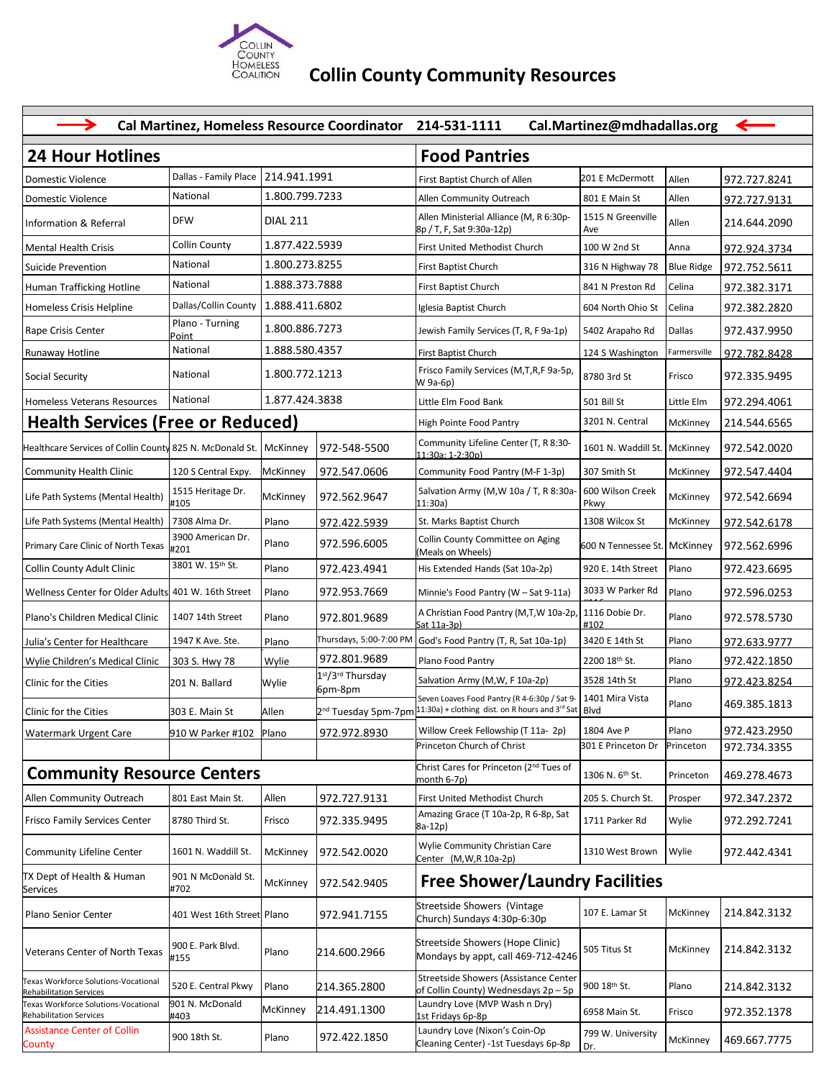

## **Collin County Community Resources**

| <b>24 Hour Hotlines</b><br><b>Food Pantries</b><br>Dallas - Family Place<br>214.941.1991<br>201 E McDermott<br>Allen<br>Domestic Violence<br>First Baptist Church of Allen<br>972.727.8241<br>National<br>1.800.799.7233<br>Allen<br>Allen Community Outreach<br>801 E Main St<br>Domestic Violence<br>972.727.9131<br>Allen Ministerial Alliance (M, R 6:30p-<br>1515 N Greenville<br><b>DFW</b><br><b>DIAL 211</b><br>Allen<br>Information & Referral<br>214.644.2090<br>8p / T, F, Sat 9:30a-12p)<br>Ave<br>Collin County<br>1.877.422.5939<br>First United Methodist Church<br>100 W 2nd St<br>Anna<br>Mental Health Crisis<br>972.924.3734<br>1.800.273.8255<br>National<br>Suicide Prevention<br>First Baptist Church<br>316 N Highway 78<br><b>Blue Ridge</b><br>972.752.5611<br>1.888.373.7888<br>National<br>Human Trafficking Hotline<br>841 N Preston Rd<br>972.382.3171<br>First Baptist Church<br>Celina<br>Dallas/Collin County<br>1.888.411.6802<br>972.382.2820<br>Iglesia Baptist Church<br>604 North Ohio St<br>Celina<br>Homeless Crisis Helpline<br>Plano - Turning<br>1.800.886.7273<br>972.437.9950<br>Rape Crisis Center<br>Jewish Family Services (T, R, F 9a-1p)<br>Dallas<br>5402 Arapaho Rd<br>Point<br>National<br>1.888.580.4357<br>Farmersville<br>Runaway Hotline<br>First Baptist Church<br>124 S Washington<br>972.782.8428<br>Frisco Family Services (M,T,R,F 9a-5p,<br>1.800.772.1213<br>National<br>Social Security<br>8780 3rd St<br>Frisco<br>972.335.9495<br>W 9a-6p)<br>1.877.424.3838<br>National<br>Homeless Veterans Resources<br>Little Elm Food Bank<br>501 Bill St<br>Little Elm<br>972.294.4061<br><b>Health Services (Free or Reduced)</b><br>3201 N. Central<br>214.544.6565<br>High Pointe Food Pantry<br>McKinney<br>Community Lifeline Center (T, R 8:30- | Cal.Martinez@mdhadallas.org<br>Cal Martinez, Homeless Resource Coordinator 214-531-1111 |  |  |  |  |
|---------------------------------------------------------------------------------------------------------------------------------------------------------------------------------------------------------------------------------------------------------------------------------------------------------------------------------------------------------------------------------------------------------------------------------------------------------------------------------------------------------------------------------------------------------------------------------------------------------------------------------------------------------------------------------------------------------------------------------------------------------------------------------------------------------------------------------------------------------------------------------------------------------------------------------------------------------------------------------------------------------------------------------------------------------------------------------------------------------------------------------------------------------------------------------------------------------------------------------------------------------------------------------------------------------------------------------------------------------------------------------------------------------------------------------------------------------------------------------------------------------------------------------------------------------------------------------------------------------------------------------------------------------------------------------------------------------------------------------------------------------------------------------------------------------------|-----------------------------------------------------------------------------------------|--|--|--|--|
|                                                                                                                                                                                                                                                                                                                                                                                                                                                                                                                                                                                                                                                                                                                                                                                                                                                                                                                                                                                                                                                                                                                                                                                                                                                                                                                                                                                                                                                                                                                                                                                                                                                                                                                                                                                                               |                                                                                         |  |  |  |  |
|                                                                                                                                                                                                                                                                                                                                                                                                                                                                                                                                                                                                                                                                                                                                                                                                                                                                                                                                                                                                                                                                                                                                                                                                                                                                                                                                                                                                                                                                                                                                                                                                                                                                                                                                                                                                               |                                                                                         |  |  |  |  |
|                                                                                                                                                                                                                                                                                                                                                                                                                                                                                                                                                                                                                                                                                                                                                                                                                                                                                                                                                                                                                                                                                                                                                                                                                                                                                                                                                                                                                                                                                                                                                                                                                                                                                                                                                                                                               |                                                                                         |  |  |  |  |
|                                                                                                                                                                                                                                                                                                                                                                                                                                                                                                                                                                                                                                                                                                                                                                                                                                                                                                                                                                                                                                                                                                                                                                                                                                                                                                                                                                                                                                                                                                                                                                                                                                                                                                                                                                                                               |                                                                                         |  |  |  |  |
|                                                                                                                                                                                                                                                                                                                                                                                                                                                                                                                                                                                                                                                                                                                                                                                                                                                                                                                                                                                                                                                                                                                                                                                                                                                                                                                                                                                                                                                                                                                                                                                                                                                                                                                                                                                                               |                                                                                         |  |  |  |  |
|                                                                                                                                                                                                                                                                                                                                                                                                                                                                                                                                                                                                                                                                                                                                                                                                                                                                                                                                                                                                                                                                                                                                                                                                                                                                                                                                                                                                                                                                                                                                                                                                                                                                                                                                                                                                               |                                                                                         |  |  |  |  |
|                                                                                                                                                                                                                                                                                                                                                                                                                                                                                                                                                                                                                                                                                                                                                                                                                                                                                                                                                                                                                                                                                                                                                                                                                                                                                                                                                                                                                                                                                                                                                                                                                                                                                                                                                                                                               |                                                                                         |  |  |  |  |
|                                                                                                                                                                                                                                                                                                                                                                                                                                                                                                                                                                                                                                                                                                                                                                                                                                                                                                                                                                                                                                                                                                                                                                                                                                                                                                                                                                                                                                                                                                                                                                                                                                                                                                                                                                                                               |                                                                                         |  |  |  |  |
|                                                                                                                                                                                                                                                                                                                                                                                                                                                                                                                                                                                                                                                                                                                                                                                                                                                                                                                                                                                                                                                                                                                                                                                                                                                                                                                                                                                                                                                                                                                                                                                                                                                                                                                                                                                                               |                                                                                         |  |  |  |  |
|                                                                                                                                                                                                                                                                                                                                                                                                                                                                                                                                                                                                                                                                                                                                                                                                                                                                                                                                                                                                                                                                                                                                                                                                                                                                                                                                                                                                                                                                                                                                                                                                                                                                                                                                                                                                               |                                                                                         |  |  |  |  |
|                                                                                                                                                                                                                                                                                                                                                                                                                                                                                                                                                                                                                                                                                                                                                                                                                                                                                                                                                                                                                                                                                                                                                                                                                                                                                                                                                                                                                                                                                                                                                                                                                                                                                                                                                                                                               |                                                                                         |  |  |  |  |
|                                                                                                                                                                                                                                                                                                                                                                                                                                                                                                                                                                                                                                                                                                                                                                                                                                                                                                                                                                                                                                                                                                                                                                                                                                                                                                                                                                                                                                                                                                                                                                                                                                                                                                                                                                                                               |                                                                                         |  |  |  |  |
|                                                                                                                                                                                                                                                                                                                                                                                                                                                                                                                                                                                                                                                                                                                                                                                                                                                                                                                                                                                                                                                                                                                                                                                                                                                                                                                                                                                                                                                                                                                                                                                                                                                                                                                                                                                                               |                                                                                         |  |  |  |  |
| Healthcare Services of Collin County 825 N. McDonald St.<br>972-548-5500<br>1601 N. Waddill St.   McKinney<br>972.542.0020<br>McKinney<br>11:30a: 1-2:30p)                                                                                                                                                                                                                                                                                                                                                                                                                                                                                                                                                                                                                                                                                                                                                                                                                                                                                                                                                                                                                                                                                                                                                                                                                                                                                                                                                                                                                                                                                                                                                                                                                                                    |                                                                                         |  |  |  |  |
| <b>McKinney</b><br>Community Food Pantry (M-F 1-3p)<br>307 Smith St<br>Community Health Clinic<br>120 S Central Expy.<br>972.547.0606<br>McKinney<br>972.547.4404                                                                                                                                                                                                                                                                                                                                                                                                                                                                                                                                                                                                                                                                                                                                                                                                                                                                                                                                                                                                                                                                                                                                                                                                                                                                                                                                                                                                                                                                                                                                                                                                                                             |                                                                                         |  |  |  |  |
| Salvation Army (M, W 10a / T, R 8:30a-<br>600 Wilson Creek<br>1515 Heritage Dr.<br>Life Path Systems (Mental Health)<br>McKinney<br>972.562.9647<br>McKinney<br>972.542.6694<br>#105<br>11:30a)<br>Pkwy                                                                                                                                                                                                                                                                                                                                                                                                                                                                                                                                                                                                                                                                                                                                                                                                                                                                                                                                                                                                                                                                                                                                                                                                                                                                                                                                                                                                                                                                                                                                                                                                       |                                                                                         |  |  |  |  |
| 7308 Alma Dr.<br>Plano<br>St. Marks Baptist Church<br>1308 Wilcox St<br>Life Path Systems (Mental Health)<br>McKinney<br>972.422.5939<br>972.542.6178                                                                                                                                                                                                                                                                                                                                                                                                                                                                                                                                                                                                                                                                                                                                                                                                                                                                                                                                                                                                                                                                                                                                                                                                                                                                                                                                                                                                                                                                                                                                                                                                                                                         |                                                                                         |  |  |  |  |
| 3900 American Dr.<br>Collin County Committee on Aging<br>Plano<br>972.596.6005<br>Primary Care Clinic of North Texas<br>600 N Tennessee St. McKinney<br>972.562.6996<br>#201<br>(Meals on Wheels)                                                                                                                                                                                                                                                                                                                                                                                                                                                                                                                                                                                                                                                                                                                                                                                                                                                                                                                                                                                                                                                                                                                                                                                                                                                                                                                                                                                                                                                                                                                                                                                                             |                                                                                         |  |  |  |  |
| 3801 W. 15 <sup>th</sup> St.<br>Plano<br>972.423.4941<br>His Extended Hands (Sat 10a-2p)<br>Plano<br>Collin County Adult Clinic<br>920 E. 14th Street<br>972.423.6695                                                                                                                                                                                                                                                                                                                                                                                                                                                                                                                                                                                                                                                                                                                                                                                                                                                                                                                                                                                                                                                                                                                                                                                                                                                                                                                                                                                                                                                                                                                                                                                                                                         |                                                                                         |  |  |  |  |
| 3033 W Parker Rd<br>Wellness Center for Older Adults 401 W. 16th Street<br>972.953.7669<br>Plano<br>Minnie's Food Pantry (W - Sat 9-11a)<br>Plano<br>972.596.0253                                                                                                                                                                                                                                                                                                                                                                                                                                                                                                                                                                                                                                                                                                                                                                                                                                                                                                                                                                                                                                                                                                                                                                                                                                                                                                                                                                                                                                                                                                                                                                                                                                             |                                                                                         |  |  |  |  |
| A Christian Food Pantry (M,T,W 10a-2p,<br>1116 Dobie Dr.<br>Plano's Children Medical Clinic<br>1407 14th Street<br>Plano<br>972.801.9689<br>Plano<br>972.578.5730<br>#102<br>Sat 11a-3p)                                                                                                                                                                                                                                                                                                                                                                                                                                                                                                                                                                                                                                                                                                                                                                                                                                                                                                                                                                                                                                                                                                                                                                                                                                                                                                                                                                                                                                                                                                                                                                                                                      |                                                                                         |  |  |  |  |
| Thursdays, 5:00-7:00 PM<br>1947 K Ave. Ste.<br>3420 E 14th St<br>Plano<br>God's Food Pantry (T, R, Sat 10a-1p)<br>Plano<br>Julia's Center for Healthcare<br>972.633.9777                                                                                                                                                                                                                                                                                                                                                                                                                                                                                                                                                                                                                                                                                                                                                                                                                                                                                                                                                                                                                                                                                                                                                                                                                                                                                                                                                                                                                                                                                                                                                                                                                                      |                                                                                         |  |  |  |  |
| 972.801.9689<br>2200 18th St.<br>972.422.1850<br>Wylie<br>Plano Food Pantry<br>Plano<br>Wylie Children's Medical Clinic<br>303 S. Hwy 78                                                                                                                                                                                                                                                                                                                                                                                                                                                                                                                                                                                                                                                                                                                                                                                                                                                                                                                                                                                                                                                                                                                                                                                                                                                                                                                                                                                                                                                                                                                                                                                                                                                                      |                                                                                         |  |  |  |  |
| 1 <sup>st</sup> /3 <sup>rd</sup> Thursday<br>Salvation Army (M,W, F 10a-2p)<br>3528 14th St<br>Plano<br>972.423.8254<br>Clinic for the Cities<br>201 N. Ballard<br>Wylie                                                                                                                                                                                                                                                                                                                                                                                                                                                                                                                                                                                                                                                                                                                                                                                                                                                                                                                                                                                                                                                                                                                                                                                                                                                                                                                                                                                                                                                                                                                                                                                                                                      |                                                                                         |  |  |  |  |
| 6pm-8pm<br>Seven Loaves Food Pantry (R 4-6:30p / Sat 9-<br>1401 Mira Vista<br>469.385.1813<br>Plano<br>2 <sup>nd</sup> Tuesday 5pm-7pm 11:30a) + clothing dist. on R hours and 3 <sup>rd</sup> Sat Blvd<br>Clinic for the Cities<br>303 E. Main St<br>Allen                                                                                                                                                                                                                                                                                                                                                                                                                                                                                                                                                                                                                                                                                                                                                                                                                                                                                                                                                                                                                                                                                                                                                                                                                                                                                                                                                                                                                                                                                                                                                   |                                                                                         |  |  |  |  |
| Plano<br>972.423.2950<br>Willow Creek Fellowship (T 11a-2p)<br>1804 Ave P<br>972.972.8930<br>Watermark Urgent Care<br>910 W Parker #102 Plano                                                                                                                                                                                                                                                                                                                                                                                                                                                                                                                                                                                                                                                                                                                                                                                                                                                                                                                                                                                                                                                                                                                                                                                                                                                                                                                                                                                                                                                                                                                                                                                                                                                                 |                                                                                         |  |  |  |  |
| Princeton Church of Christ<br>301 E Princeton Dr<br>Princeton<br>972.734.3355                                                                                                                                                                                                                                                                                                                                                                                                                                                                                                                                                                                                                                                                                                                                                                                                                                                                                                                                                                                                                                                                                                                                                                                                                                                                                                                                                                                                                                                                                                                                                                                                                                                                                                                                 |                                                                                         |  |  |  |  |
| Christ Cares for Princeton (2nd Tues of<br><b>Community Resource Centers</b><br>1306 N. 6 <sup>th</sup> St.<br>469.278.4673<br>Princeton<br>month 6-7p)                                                                                                                                                                                                                                                                                                                                                                                                                                                                                                                                                                                                                                                                                                                                                                                                                                                                                                                                                                                                                                                                                                                                                                                                                                                                                                                                                                                                                                                                                                                                                                                                                                                       |                                                                                         |  |  |  |  |
| Allen Community Outreach<br>Allen<br>972.727.9131<br>First United Methodist Church<br>205 S. Church St.<br>Prosper<br>972.347.2372<br>801 East Main St.                                                                                                                                                                                                                                                                                                                                                                                                                                                                                                                                                                                                                                                                                                                                                                                                                                                                                                                                                                                                                                                                                                                                                                                                                                                                                                                                                                                                                                                                                                                                                                                                                                                       |                                                                                         |  |  |  |  |
| Amazing Grace (T 10a-2p, R 6-8p, Sat<br>Frisco Family Services Center<br>8780 Third St.<br>972.335.9495<br>1711 Parker Rd<br>Wylie<br>972.292.7241<br>Frisco<br>8a-12p)                                                                                                                                                                                                                                                                                                                                                                                                                                                                                                                                                                                                                                                                                                                                                                                                                                                                                                                                                                                                                                                                                                                                                                                                                                                                                                                                                                                                                                                                                                                                                                                                                                       |                                                                                         |  |  |  |  |
| Wylie Community Christian Care<br><b>Community Lifeline Center</b><br>1601 N. Waddill St.<br>McKinney<br>972.542.0020<br>1310 West Brown<br>Wylie<br>972.442.4341<br>Center (M, W, R 10a-2p)                                                                                                                                                                                                                                                                                                                                                                                                                                                                                                                                                                                                                                                                                                                                                                                                                                                                                                                                                                                                                                                                                                                                                                                                                                                                                                                                                                                                                                                                                                                                                                                                                  |                                                                                         |  |  |  |  |
| TX Dept of Health & Human<br>901 N McDonald St.<br><b>Free Shower/Laundry Facilities</b><br>McKinney<br>972.542.9405<br>#702<br>Services                                                                                                                                                                                                                                                                                                                                                                                                                                                                                                                                                                                                                                                                                                                                                                                                                                                                                                                                                                                                                                                                                                                                                                                                                                                                                                                                                                                                                                                                                                                                                                                                                                                                      |                                                                                         |  |  |  |  |
| Streetside Showers (Vintage<br>107 E. Lamar St<br>McKinney<br>214.842.3132<br>401 West 16th Street Plano<br>Plano Senior Center<br>972.941.7155<br>Church) Sundays 4:30p-6:30p                                                                                                                                                                                                                                                                                                                                                                                                                                                                                                                                                                                                                                                                                                                                                                                                                                                                                                                                                                                                                                                                                                                                                                                                                                                                                                                                                                                                                                                                                                                                                                                                                                |                                                                                         |  |  |  |  |
| Streetside Showers (Hope Clinic)<br>900 E. Park Blvd.<br>505 Titus St<br>McKinney<br>214.842.3132<br>Veterans Center of North Texas<br>214.600.2966<br>Plano<br>Mondays by appt, call 469-712-4246<br>#155                                                                                                                                                                                                                                                                                                                                                                                                                                                                                                                                                                                                                                                                                                                                                                                                                                                                                                                                                                                                                                                                                                                                                                                                                                                                                                                                                                                                                                                                                                                                                                                                    |                                                                                         |  |  |  |  |
| Streetside Showers (Assistance Center<br>Texas Workforce Solutions-Vocational<br>520 E. Central Pkwy<br>Plano<br>900 18th St.<br>214.842.3132<br>214.365.2800<br>Plano<br>of Collin County) Wednesdays 2p-5p<br><b>Rehabilitation Services</b>                                                                                                                                                                                                                                                                                                                                                                                                                                                                                                                                                                                                                                                                                                                                                                                                                                                                                                                                                                                                                                                                                                                                                                                                                                                                                                                                                                                                                                                                                                                                                                |                                                                                         |  |  |  |  |
| Laundry Love (MVP Wash n Dry)<br>901 N. McDonald<br>Texas Workforce Solutions-Vocational<br>McKinney<br>214.491.1300<br>972.352.1378<br>6958 Main St.<br>Frisco<br><b>Rehabilitation Services</b><br>#403<br>1st Fridays 6p-8p                                                                                                                                                                                                                                                                                                                                                                                                                                                                                                                                                                                                                                                                                                                                                                                                                                                                                                                                                                                                                                                                                                                                                                                                                                                                                                                                                                                                                                                                                                                                                                                |                                                                                         |  |  |  |  |
| <b>Assistance Center of Collin</b><br>Laundry Love (Nixon's Coin-Op<br>799 W. University<br>900 18th St.<br>Plano<br>972.422.1850<br>469.667.7775<br>McKinney<br>Cleaning Center) -1st Tuesdays 6p-8p<br>County<br>Dr.                                                                                                                                                                                                                                                                                                                                                                                                                                                                                                                                                                                                                                                                                                                                                                                                                                                                                                                                                                                                                                                                                                                                                                                                                                                                                                                                                                                                                                                                                                                                                                                        |                                                                                         |  |  |  |  |